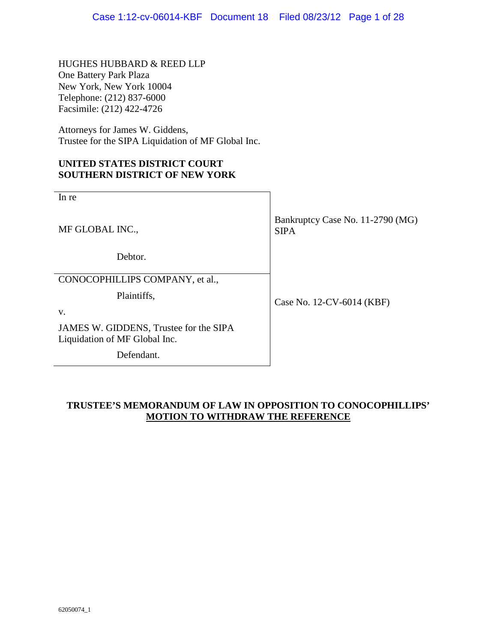HUGHES HUBBARD & REED LLP One Battery Park Plaza New York, New York 10004 Telephone: (212) 837-6000 Facsimile: (212) 422-4726

Attorneys for James W. Giddens, Trustee for the SIPA Liquidation of MF Global Inc.

### **UNITED STATES DISTRICT COURT SOUTHERN DISTRICT OF NEW YORK**

| In re                                                                   |                                                 |  |
|-------------------------------------------------------------------------|-------------------------------------------------|--|
| MF GLOBAL INC.,                                                         | Bankruptcy Case No. 11-2790 (MG)<br><b>SIPA</b> |  |
| Debtor.                                                                 |                                                 |  |
| CONOCOPHILLIPS COMPANY, et al.,                                         |                                                 |  |
| Plaintiffs,<br>V.                                                       | Case No. 12-CV-6014 (KBF)                       |  |
| JAMES W. GIDDENS, Trustee for the SIPA<br>Liquidation of MF Global Inc. |                                                 |  |
| Defendant.                                                              |                                                 |  |

### **TRUSTEE'S MEMORANDUM OF LAW IN OPPOSITION TO CONOCOPHILLIPS' MOTION TO WITHDRAW THE REFERENCE**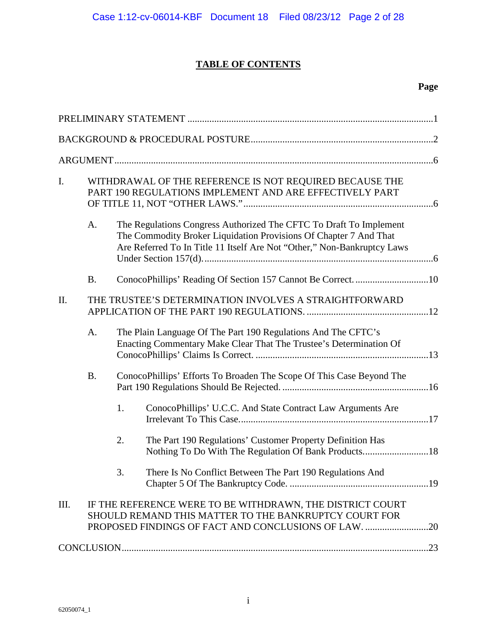# **TABLE OF CONTENTS**

## **Page**

| I.   |           |                                                                      | WITHDRAWAL OF THE REFERENCE IS NOT REQUIRED BECAUSE THE<br>PART 190 REGULATIONS IMPLEMENT AND ARE EFFECTIVELY PART                                                                                                 |  |  |
|------|-----------|----------------------------------------------------------------------|--------------------------------------------------------------------------------------------------------------------------------------------------------------------------------------------------------------------|--|--|
|      | A.        |                                                                      | The Regulations Congress Authorized The CFTC To Draft To Implement<br>The Commodity Broker Liquidation Provisions Of Chapter 7 And That<br>Are Referred To In Title 11 Itself Are Not "Other," Non-Bankruptcy Laws |  |  |
|      | <b>B.</b> |                                                                      | ConocoPhillips' Reading Of Section 157 Cannot Be Correct. 10                                                                                                                                                       |  |  |
| Π.   |           |                                                                      | THE TRUSTEE'S DETERMINATION INVOLVES A STRAIGHTFORWARD                                                                                                                                                             |  |  |
|      | A.        |                                                                      | The Plain Language Of The Part 190 Regulations And The CFTC's<br>Enacting Commentary Make Clear That The Trustee's Determination Of                                                                                |  |  |
|      | <b>B.</b> | ConocoPhillips' Efforts To Broaden The Scope Of This Case Beyond The |                                                                                                                                                                                                                    |  |  |
|      |           | 1.                                                                   | ConocoPhillips' U.C.C. And State Contract Law Arguments Are                                                                                                                                                        |  |  |
|      |           | 2.                                                                   | The Part 190 Regulations' Customer Property Definition Has                                                                                                                                                         |  |  |
|      |           | 3.                                                                   | There Is No Conflict Between The Part 190 Regulations And                                                                                                                                                          |  |  |
| III. |           |                                                                      | IF THE REFERENCE WERE TO BE WITHDRAWN, THE DISTRICT COURT<br>SHOULD REMAND THIS MATTER TO THE BANKRUPTCY COURT FOR                                                                                                 |  |  |
|      |           |                                                                      |                                                                                                                                                                                                                    |  |  |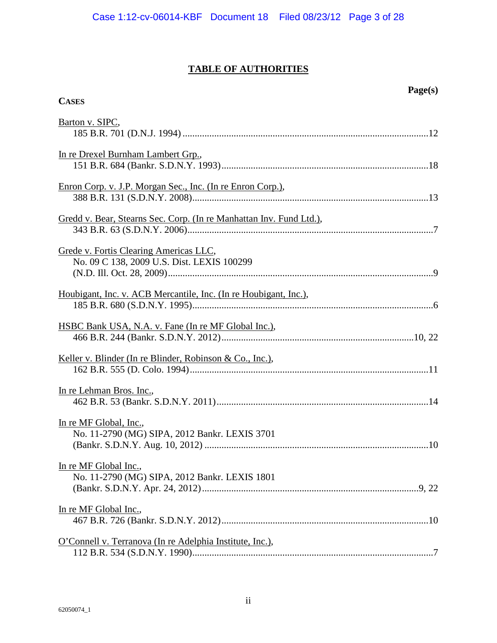# **TABLE OF AUTHORITIES**

| Barton v. SIPC,                                                                      |
|--------------------------------------------------------------------------------------|
| In re Drexel Burnham Lambert Grp.,                                                   |
| Enron Corp. v. J.P. Morgan Sec., Inc. (In re Enron Corp.),                           |
| Gredd v. Bear, Stearns Sec. Corp. (In re Manhattan Inv. Fund Ltd.),                  |
| Grede v. Fortis Clearing Americas LLC,<br>No. 09 C 138, 2009 U.S. Dist. LEXIS 100299 |
| Houbigant, Inc. v. ACB Mercantile, Inc. (In re Houbigant, Inc.),                     |
| HSBC Bank USA, N.A. v. Fane (In re MF Global Inc.),                                  |
|                                                                                      |
| In re Lehman Bros. Inc.,                                                             |
| In re MF Global, Inc.,<br>No. 11-2790 (MG) SIPA, 2012 Bankr. LEXIS 3701              |
| In re MF Global Inc.,<br>No. 11-2790 (MG) SIPA, 2012 Bankr. LEXIS 1801               |
| In re MF Global Inc.,                                                                |
| O'Connell v. Terranova (In re Adelphia Institute, Inc.),                             |

**CASES**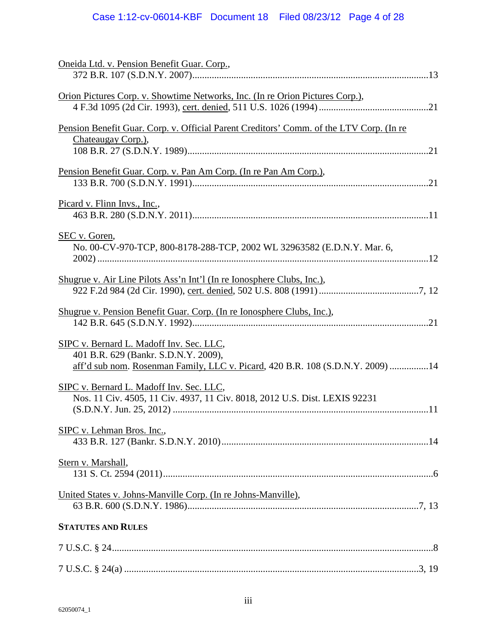| Oneida Ltd. v. Pension Benefit Guar. Corp.,                                                                                                                        |
|--------------------------------------------------------------------------------------------------------------------------------------------------------------------|
| Orion Pictures Corp. v. Showtime Networks, Inc. (In re Orion Pictures Corp.),                                                                                      |
| Pension Benefit Guar. Corp. v. Official Parent Creditors' Comm. of the LTV Corp. (In re<br>Chateaugay Corp.),                                                      |
| Pension Benefit Guar. Corp. v. Pan Am Corp. (In re Pan Am Corp.),                                                                                                  |
| Picard v. Flinn Invs., Inc.,                                                                                                                                       |
| SEC v. Goren,<br>No. 00-CV-970-TCP, 800-8178-288-TCP, 2002 WL 32963582 (E.D.N.Y. Mar. 6,                                                                           |
| Shugrue v. Air Line Pilots Ass'n Int'l (In re Ionosphere Clubs, Inc.),                                                                                             |
| Shugrue v. Pension Benefit Guar. Corp. (In re Ionosphere Clubs, Inc.),                                                                                             |
| SIPC v. Bernard L. Madoff Inv. Sec. LLC,<br>401 B.R. 629 (Bankr. S.D.N.Y. 2009),<br>aff'd sub nom. Rosenman Family, LLC v. Picard, 420 B.R. 108 (S.D.N.Y. 2009) 14 |
| SIPC v. Bernard L. Madoff Inv. Sec. LLC,<br>Nos. 11 Civ. 4505, 11 Civ. 4937, 11 Civ. 8018, 2012 U.S. Dist. LEXIS 92231                                             |
| SIPC v. Lehman Bros. Inc.,                                                                                                                                         |
| Stern v. Marshall,                                                                                                                                                 |
| United States v. Johns-Manville Corp. (In re Johns-Manville),                                                                                                      |
| <b>STATUTES AND RULES</b>                                                                                                                                          |
|                                                                                                                                                                    |
|                                                                                                                                                                    |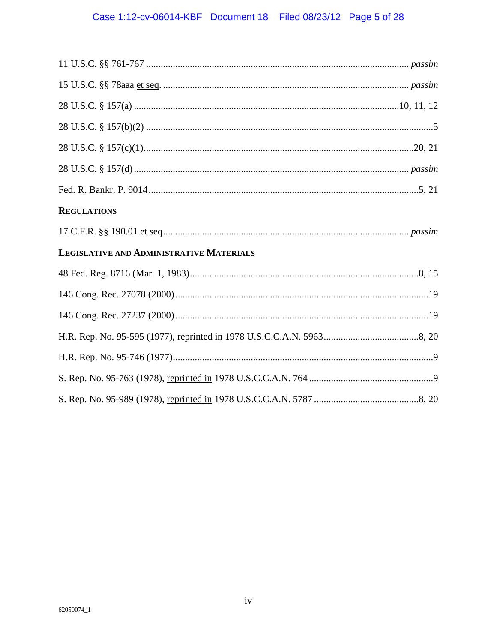# Case 1:12-cv-06014-KBF Document 18 Filed 08/23/12 Page 5 of 28

| <b>REGULATIONS</b>                       |
|------------------------------------------|
|                                          |
| LEGISLATIVE AND ADMINISTRATIVE MATERIALS |
|                                          |
|                                          |
|                                          |
|                                          |
|                                          |
|                                          |
|                                          |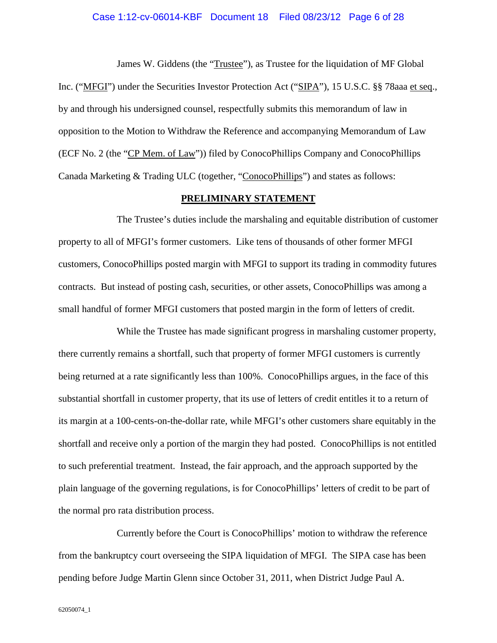#### Case 1:12-cv-06014-KBF Document 18 Filed 08/23/12 Page 6 of 28

James W. Giddens (the "Trustee"), as Trustee for the liquidation of MF Global Inc. ("MFGI") under the Securities Investor Protection Act ("SIPA"), 15 U.S.C. §§ 78aaa et seq., by and through his undersigned counsel, respectfully submits this memorandum of law in opposition to the Motion to Withdraw the Reference and accompanying Memorandum of Law (ECF No. 2 (the "CP Mem. of Law")) filed by ConocoPhillips Company and ConocoPhillips Canada Marketing & Trading ULC (together, "ConocoPhillips") and states as follows:

#### **PRELIMINARY STATEMENT**

The Trustee's duties include the marshaling and equitable distribution of customer property to all of MFGI's former customers. Like tens of thousands of other former MFGI customers, ConocoPhillips posted margin with MFGI to support its trading in commodity futures contracts. But instead of posting cash, securities, or other assets, ConocoPhillips was among a small handful of former MFGI customers that posted margin in the form of letters of credit.

While the Trustee has made significant progress in marshaling customer property, there currently remains a shortfall, such that property of former MFGI customers is currently being returned at a rate significantly less than 100%. ConocoPhillips argues, in the face of this substantial shortfall in customer property, that its use of letters of credit entitles it to a return of its margin at a 100-cents-on-the-dollar rate, while MFGI's other customers share equitably in the shortfall and receive only a portion of the margin they had posted. ConocoPhillips is not entitled to such preferential treatment. Instead, the fair approach, and the approach supported by the plain language of the governing regulations, is for ConocoPhillips' letters of credit to be part of the normal pro rata distribution process.

Currently before the Court is ConocoPhillips' motion to withdraw the reference from the bankruptcy court overseeing the SIPA liquidation of MFGI. The SIPA case has been pending before Judge Martin Glenn since October 31, 2011, when District Judge Paul A.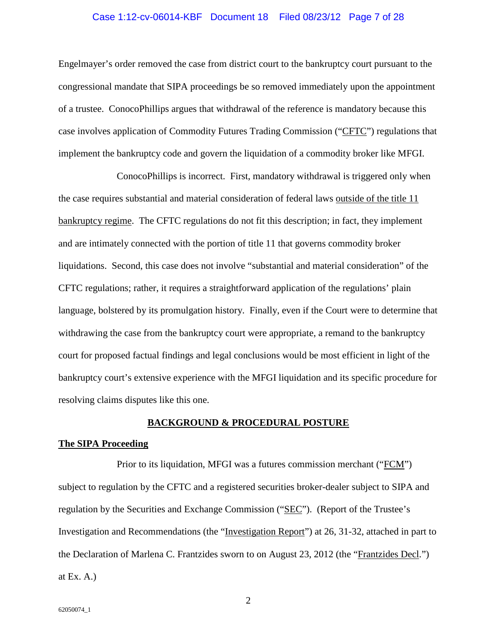#### Case 1:12-cv-06014-KBF Document 18 Filed 08/23/12 Page 7 of 28

Engelmayer's order removed the case from district court to the bankruptcy court pursuant to the congressional mandate that SIPA proceedings be so removed immediately upon the appointment of a trustee. ConocoPhillips argues that withdrawal of the reference is mandatory because this case involves application of Commodity Futures Trading Commission ("CFTC") regulations that implement the bankruptcy code and govern the liquidation of a commodity broker like MFGI.

ConocoPhillips is incorrect. First, mandatory withdrawal is triggered only when the case requires substantial and material consideration of federal laws outside of the title 11 bankruptcy regime. The CFTC regulations do not fit this description; in fact, they implement and are intimately connected with the portion of title 11 that governs commodity broker liquidations. Second, this case does not involve "substantial and material consideration" of the CFTC regulations; rather, it requires a straightforward application of the regulations' plain language, bolstered by its promulgation history. Finally, even if the Court were to determine that withdrawing the case from the bankruptcy court were appropriate, a remand to the bankruptcy court for proposed factual findings and legal conclusions would be most efficient in light of the bankruptcy court's extensive experience with the MFGI liquidation and its specific procedure for resolving claims disputes like this one.

#### **BACKGROUND & PROCEDURAL POSTURE**

#### **The SIPA Proceeding**

Prior to its liquidation, MFGI was a futures commission merchant ("FCM") subject to regulation by the CFTC and a registered securities broker-dealer subject to SIPA and regulation by the Securities and Exchange Commission ("SEC"). (Report of the Trustee's Investigation and Recommendations (the "Investigation Report") at 26, 31-32, attached in part to the Declaration of Marlena C. Frantzides sworn to on August 23, 2012 (the "Frantzides Decl.") at Ex.  $A$ .)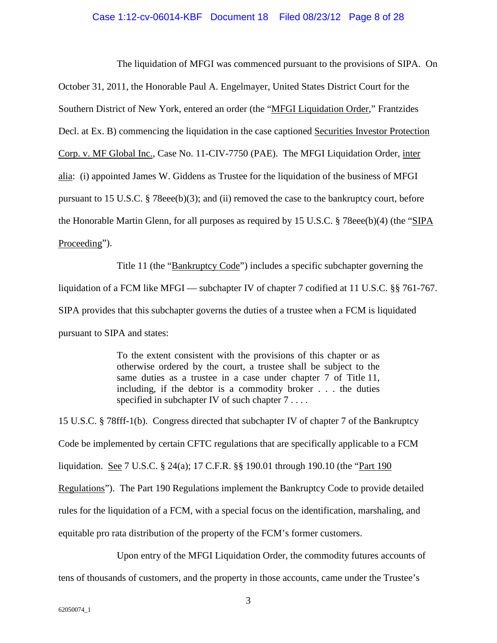The liquidation of MFGI was commenced pursuant to the provisions of SIPA. On

October 31, 2011, the Honorable Paul A. Engelmayer, United States District Court for the Southern District of New York, entered an order (the "MFGI Liquidation Order," Frantzides Decl. at Ex. B) commencing the liquidation in the case captioned Securities Investor Protection Corp. v. MF Global Inc., Case No. 11-CIV-7750 (PAE). The MFGI Liquidation Order, inter alia: (i) appointed James W. Giddens as Trustee for the liquidation of the business of MFGI pursuant to 15 U.S.C. § 78eee(b)(3); and (ii) removed the case to the bankruptcy court, before the Honorable Martin Glenn, for all purposes as required by 15 U.S.C. § 78eee(b)(4) (the "SIPA Proceeding").

Title 11 (the "Bankruptcy Code") includes a specific subchapter governing the liquidation of a FCM like MFGI — subchapter IV of chapter 7 codified at 11 U.S.C. §§ 761-767. SIPA provides that this subchapter governs the duties of a trustee when a FCM is liquidated pursuant to SIPA and states:

> To the extent consistent with the provisions of this chapter or as otherwise ordered by the court, a trustee shall be subject to the same duties as a trustee in a case under chapter 7 of Title 11, including, if the debtor is a commodity broker . . . the duties specified in subchapter IV of such chapter 7 . . . .

<span id="page-7-0"></span>15 U.S.C. § 78fff-1(b). Congress directed that subchapter IV of chapter 7 of the Bankruptcy Code be implemented by certain CFTC regulations that are specifically applicable to a FCM liquidation. See 7 U.S.C. § 24(a); 17 C.F.R. §§ 190.01 through 190.10 (the "Part 190 Regulations"). The Part 190 Regulations implement the Bankruptcy Code to provide detailed rules for the liquidation of a FCM, with a special focus on the identification, marshaling, and equitable pro rata distribution of the property of the FCM's former customers.

Upon entry of the MFGI Liquidation Order, the commodity futures accounts of tens of thousands of customers, and the property in those accounts, came under the Trustee's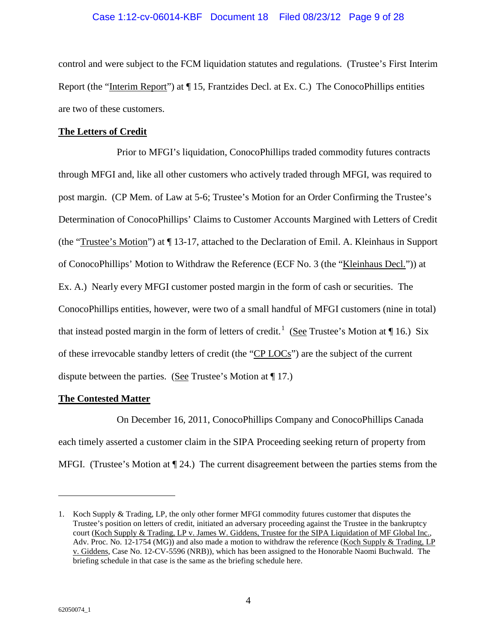### Case 1:12-cv-06014-KBF Document 18 Filed 08/23/12 Page 9 of 28

control and were subject to the FCM liquidation statutes and regulations. (Trustee's First Interim Report (the "Interim Report") at ¶ 15, Frantzides Decl. at Ex. C.) The ConocoPhillips entities are two of these customers.

#### **The Letters of Credit**

Prior to MFGI's liquidation, ConocoPhillips traded commodity futures contracts through MFGI and, like all other customers who actively traded through MFGI, was required to post margin. (CP Mem. of Law at 5-6; Trustee's Motion for an Order Confirming the Trustee's Determination of ConocoPhillips' Claims to Customer Accounts Margined with Letters of Credit (the " Trustee's Motion") at ¶ 13-17, attached to the Declaration of Emil. A. Kleinhaus in Support of ConocoPhillips' Motion to Withdraw the Reference (ECF No. 3 (the "Kleinhaus Decl.")) at Ex. A.) Nearly every MFGI customer posted margin in the form of cash or securities. The ConocoPhillips entities, however, were two of a small handful of MFGI customers (nine in total) that instead posted margin in the form of letters of credit.<sup>[1](#page-8-0)</sup> (See Trustee's Motion at ¶ 16.) Six of these irrevocable standby letters of credit (the "CP LOCs") are the subject of the current dispute between the parties. (See Trustee's Motion at ¶ 17.)

#### **The Contested Matter**

On December 16, 2011, ConocoPhillips Company and ConocoPhillips Canada each timely asserted a customer claim in the SIPA Proceeding seeking return of property from MFGI. (Trustee's Motion at  $\P$  24.) The current disagreement between the parties stems from the

 $\overline{a}$ 

<span id="page-8-0"></span><sup>1.</sup> Koch Supply & Trading, LP, the only other former MFGI commodity futures customer that disputes the Trustee's position on letters of credit, initiated an adversary proceeding against the Trustee in the bankruptcy court (Koch Supply & Trading, LP v. James W. Giddens, Trustee for the SIPA Liquidation of MF Global Inc., Adv. Proc. No. 12-1754 (MG)) and also made a motion to withdraw the reference (Koch Supply & Trading, LP v. Giddens, Case No. 12-CV-5596 (NRB)), which has been assigned to the Honorable Naomi Buchwald. The briefing schedule in that case is the same as the briefing schedule here.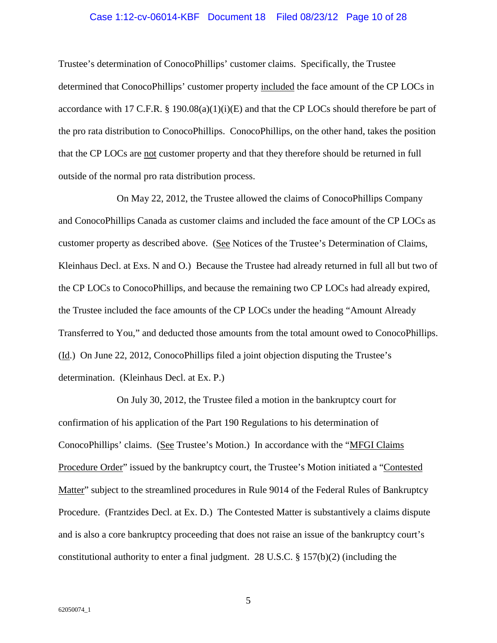### Case 1:12-cv-06014-KBF Document 18 Filed 08/23/12 Page 10 of 28

Trustee's determination of ConocoPhillips' customer claims. Specifically, the Trustee determined that ConocoPhillips' customer property included the face amount of the CP LOCs in accordance with 17 C.F.R. § 190.08(a)(1)(i)(E) and that the CP LOCs should therefore be part of the pro rata distribution to ConocoPhillips. ConocoPhillips, on the other hand, takes the position that the CP LOCs are not customer property and that they therefore should be returned in full outside of the normal pro rata distribution process.

On May 22, 2012, the Trustee allowed the claims of ConocoPhillips Company and ConocoPhillips Canada as customer claims and included the face amount of the CP LOCs as customer property as described above. (See Notices of the Trustee's Determination of Claims, Kleinhaus Decl. at Exs. N and O.) Because the Trustee had already returned in full all but two of the CP LOCs to ConocoPhillips, and because the remaining two CP LOCs had already expired, the Trustee included the face amounts of the CP LOCs under the heading "Amount Already Transferred to You," and deducted those amounts from the total amount owed to ConocoPhillips. (Id.) On June 22, 2012, ConocoPhillips filed a joint objection disputing the Trustee's determination. (Kleinhaus Decl. at Ex. P.)

<span id="page-9-1"></span><span id="page-9-0"></span>On July 30, 2012, the Trustee filed a motion in the bankruptcy court for confirmation of his application of the Part 190 Regulations to his determination of ConocoPhillips' claims. (See Trustee's Motion.) In accordance with the "MFGI Claims Procedure Order" issued by the bankruptcy court, the Trustee's Motion initiated a "Contested Matter" subject to the streamlined procedures in Rule 9014 of the Federal Rules of Bankruptcy Procedure. (Frantzides Decl. at Ex. D.) The Contested Matter is substantively a claims dispute and is also a core bankruptcy proceeding that does not raise an issue of the bankruptcy court's constitutional authority to enter a final judgment. 28 U.S.C. § 157(b)(2) (including the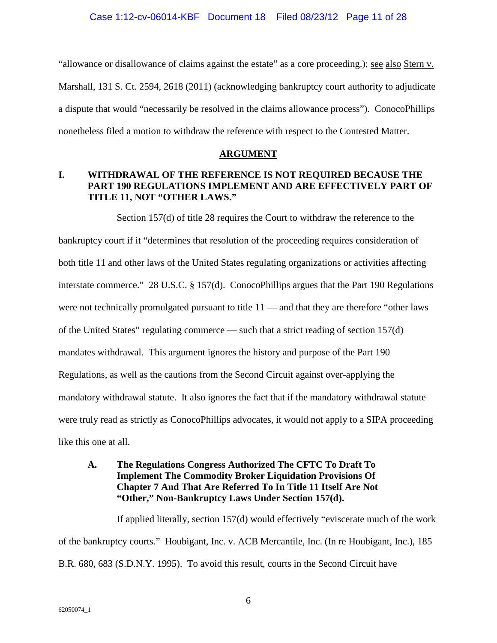"allowance or disallowance of claims against the estate" as a core proceeding.); see also Stern v. Marshall, 131 S. Ct. 2594, 2618 (2011) (acknowledging bankruptcy court authority to adjudicate a dispute that would "necessarily be resolved in the claims allowance process"). ConocoPhillips nonetheless filed a motion to withdraw the reference with respect to the Contested Matter.

### **ARGUMENT**

### **I. WITHDRAWAL OF THE REFERENCE IS NOT REQUIRED BECAUSE THE PART 190 REGULATIONS IMPLEMENT AND ARE EFFECTIVELY PART OF TITLE 11, NOT "OTHER LAWS."**

<span id="page-10-1"></span>Section 157(d) of title 28 requires the Court to withdraw the reference to the bankruptcy court if it "determines that resolution of the proceeding requires consideration of both title 11 and other laws of the United States regulating organizations or activities affecting interstate commerce." 28 U.S.C. § 157(d). ConocoPhillips argues that the Part 190 Regulations were not technically promulgated pursuant to title 11 — and that they are therefore "other laws of the United States" regulating commerce — such that a strict reading of section 157(d) mandates withdrawal. This argument ignores the history and purpose of the Part 190 Regulations, as well as the cautions from the Second Circuit against over-applying the mandatory withdrawal statute. It also ignores the fact that if the mandatory withdrawal statute were truly read as strictly as ConocoPhillips advocates, it would not apply to a SIPA proceeding like this one at all.

### **A. The Regulations Congress Authorized The CFTC To Draft To Implement The Commodity Broker Liquidation Provisions Of Chapter 7 And That Are Referred To In Title 11 Itself Are Not "Other," Non-Bankruptcy Laws Under Section 157(d).**

<span id="page-10-0"></span>If applied literally, section 157(d) would effectively "eviscerate much of the work of the bankruptcy courts." Houbigant, Inc. v. ACB Mercantile, Inc. (In re Houbigant, Inc.), 185 B.R. 680, 683 (S.D.N.Y. 1995). To avoid this result, courts in the Second Circuit have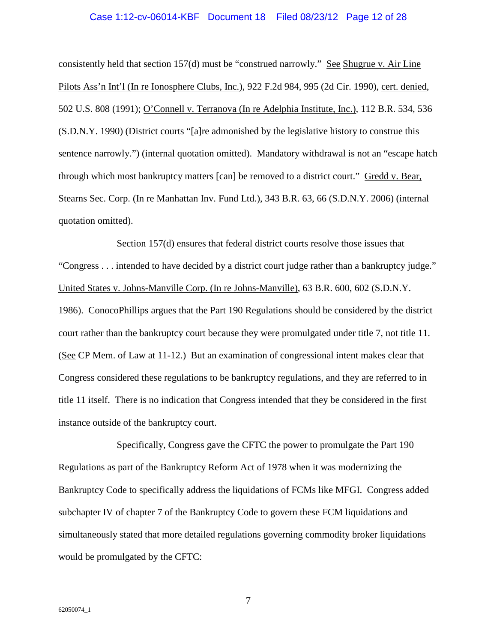#### <span id="page-11-2"></span>Case 1:12-cv-06014-KBF Document 18 Filed 08/23/12 Page 12 of 28

<span id="page-11-1"></span>consistently held that section 157(d) must be "construed narrowly." See Shugrue v. Air Line Pilots Ass'n Int'l (In re Ionosphere Clubs, Inc.), 922 F.2d 984, 995 (2d Cir. 1990), cert. denied, 502 U.S. 808 (1991); O'Connell v. Terranova (In re Adelphia Institute, Inc.), 112 B.R. 534, 536 (S.D.N.Y. 1990) (District courts "[a]re admonished by the legislative history to construe this sentence narrowly.") (internal quotation omitted). Mandatory withdrawal is not an "escape hatch through which most bankruptcy matters [can] be removed to a district court." Gredd v. Bear, Stearns Sec. Corp. (In re Manhattan Inv. Fund Ltd.), 343 B.R. 63, 66 (S.D.N.Y. 2006) (internal quotation omitted).

<span id="page-11-3"></span><span id="page-11-0"></span>Section 157(d) ensures that federal district courts resolve those issues that "Congress . . . intended to have decided by a district court judge rather than a bankruptcy judge." United States v. Johns-Manville Corp. (In re Johns-Manville), 63 B.R. 600, 602 (S.D.N.Y. 1986). ConocoPhillips argues that the Part 190 Regulations should be considered by the district court rather than the bankruptcy court because they were promulgated under title 7, not title 11. (See CP Mem. of Law at 11-12.) But an examination of congressional intent makes clear that Congress considered these regulations to be bankruptcy regulations, and they are referred to in title 11 itself. There is no indication that Congress intended that they be considered in the first instance outside of the bankruptcy court.

Specifically, Congress gave the CFTC the power to promulgate the Part 190 Regulations as part of the Bankruptcy Reform Act of 1978 when it was modernizing the Bankruptcy Code to specifically address the liquidations of FCMs like MFGI. Congress added subchapter IV of chapter 7 of the Bankruptcy Code to govern these FCM liquidations and simultaneously stated that more detailed regulations governing commodity broker liquidations would be promulgated by the CFTC: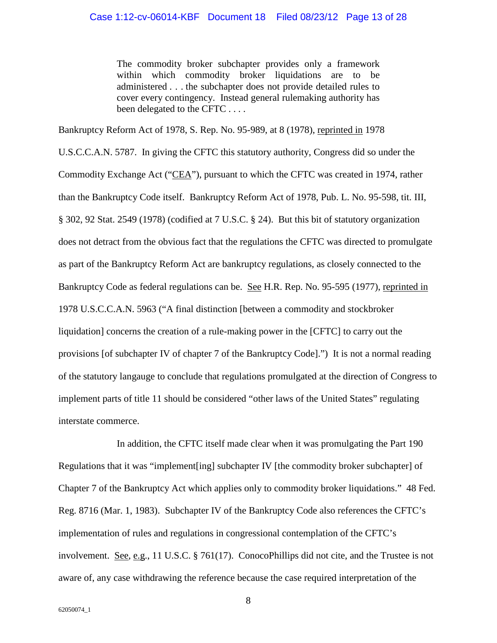The commodity broker subchapter provides only a framework within which commodity broker liquidations are to be administered . . . the subchapter does not provide detailed rules to cover every contingency. Instead general rulemaking authority has been delegated to the CFTC . . . .

<span id="page-12-3"></span>Bankruptcy Reform Act of 1978, S. Rep. No. 95-989, at 8 (1978), reprinted in 1978

<span id="page-12-2"></span><span id="page-12-0"></span>U.S.C.C.A.N. 5787. In giving the CFTC this statutory authority, Congress did so under the Commodity Exchange Act ("CEA"), pursuant to which the CFTC was created in 1974, rather than the Bankruptcy Code itself. Bankruptcy Reform Act of 1978, Pub. L. No. 95-598, tit. III, § 302, 92 Stat. 2549 (1978) (codified at 7 U.S.C. § 24). But this bit of statutory organization does not detract from the obvious fact that the regulations the CFTC was directed to promulgate as part of the Bankruptcy Reform Act are bankruptcy regulations, as closely connected to the Bankruptcy Code as federal regulations can be. See H.R. Rep. No. 95-595 (1977), reprinted in 1978 U.S.C.C.A.N. 5963 ("A final distinction [between a commodity and stockbroker liquidation] concerns the creation of a rule-making power in the [CFTC] to carry out the provisions [of subchapter IV of chapter 7 of the Bankruptcy Code].") It is not a normal reading of the statutory langauge to conclude that regulations promulgated at the direction of Congress to implement parts of title 11 should be considered "other laws of the United States" regulating interstate commerce.

<span id="page-12-1"></span>In addition, the CFTC itself made clear when it was promulgating the Part 190 Regulations that it was "implement[ing] subchapter IV [the commodity broker subchapter] of Chapter 7 of the Bankruptcy Act which applies only to commodity broker liquidations." 48 Fed. Reg. 8716 (Mar. 1, 1983). Subchapter IV of the Bankruptcy Code also references the CFTC's implementation of rules and regulations in congressional contemplation of the CFTC's involvement. See, e.g., 11 U.S.C. § 761(17). ConocoPhillips did not cite, and the Trustee is not aware of, any case withdrawing the reference because the case required interpretation of the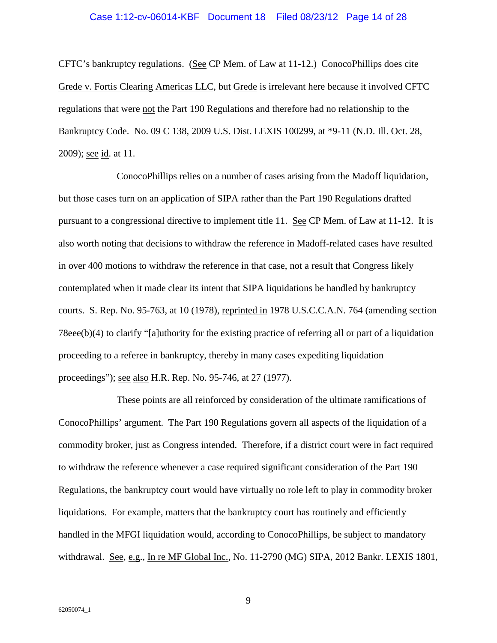#### Case 1:12-cv-06014-KBF Document 18 Filed 08/23/12 Page 14 of 28

<span id="page-13-0"></span>CFTC's bankruptcy regulations. (See CP Mem. of Law at 11-12.) ConocoPhillips does cite Grede v. Fortis Clearing Americas LLC, but Grede is irrelevant here because it involved CFTC regulations that were not the Part 190 Regulations and therefore had no relationship to the Bankruptcy Code. No. 09 C 138, 2009 U.S. Dist. LEXIS 100299, at \*9-11 (N.D. Ill. Oct. 28, 2009); <u>see id</u>. at 11.

ConocoPhillips relies on a number of cases arising from the Madoff liquidation, but those cases turn on an application of SIPA rather than the Part 190 Regulations drafted pursuant to a congressional directive to implement title 11. See CP Mem. of Law at 11-12. It is also worth noting that decisions to withdraw the reference in Madoff-related cases have resulted in over 400 motions to withdraw the reference in that case, not a result that Congress likely contemplated when it made clear its intent that SIPA liquidations be handled by bankruptcy courts. S. Rep. No. 95-763, at 10 (1978), reprinted in 1978 U.S.C.C.A.N. 764 (amending section 78eee(b)(4) to clarify "[a]uthority for the existing practice of referring all or part of a liquidation proceeding to a referee in bankruptcy, thereby in many cases expediting liquidation proceedings"); see also H.R. Rep. No. 95-746, at 27 (1977).

<span id="page-13-2"></span><span id="page-13-1"></span>These points are all reinforced by consideration of the ultimate ramifications of ConocoPhillips' argument. The Part 190 Regulations govern all aspects of the liquidation of a commodity broker, just as Congress intended. Therefore, if a district court were in fact required to withdraw the reference whenever a case required significant consideration of the Part 190 Regulations, the bankruptcy court would have virtually no role left to play in commodity broker liquidations. For example, matters that the bankruptcy court has routinely and efficiently handled in the MFGI liquidation would, according to ConocoPhillips, be subject to mandatory withdrawal. See, e.g., In re MF Global Inc., No. 11-2790 (MG) SIPA, 2012 Bankr. LEXIS 1801,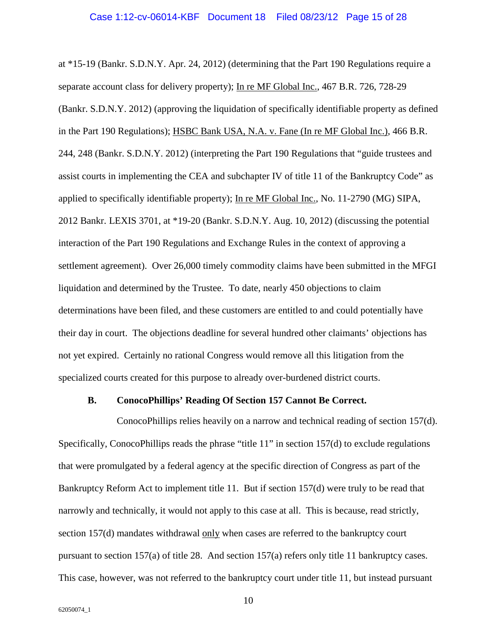<span id="page-14-2"></span><span id="page-14-1"></span><span id="page-14-0"></span>at \*15-19 (Bankr. S.D.N.Y. Apr. 24, 2012) (determining that the Part 190 Regulations require a separate account class for delivery property); In re MF Global Inc., 467 B.R. 726, 728-29 (Bankr. S.D.N.Y. 2012) (approving the liquidation of specifically identifiable property as defined in the Part 190 Regulations); HSBC Bank USA, N.A. v. Fane (In re MF Global Inc.), 466 B.R. 244, 248 (Bankr. S.D.N.Y. 2012) (interpreting the Part 190 Regulations that "guide trustees and assist courts in implementing the CEA and subchapter IV of title 11 of the Bankruptcy Code" as applied to specifically identifiable property); In re MF Global Inc., No. 11-2790 (MG) SIPA, 2012 Bankr. LEXIS 3701, at \*19-20 (Bankr. S.D.N.Y. Aug. 10, 2012) (discussing the potential interaction of the Part 190 Regulations and Exchange Rules in the context of approving a settlement agreement). Over 26,000 timely commodity claims have been submitted in the MFGI liquidation and determined by the Trustee. To date, nearly 450 objections to claim determinations have been filed, and these customers are entitled to and could potentially have their day in court. The objections deadline for several hundred other claimants' objections has not yet expired. Certainly no rational Congress would remove all this litigation from the specialized courts created for this purpose to already over-burdened district courts.

#### **B. ConocoPhillips' Reading Of Section 157 Cannot Be Correct.**

ConocoPhillips relies heavily on a narrow and technical reading of section 157(d). Specifically, ConocoPhillips reads the phrase "title 11" in section 157(d) to exclude regulations that were promulgated by a federal agency at the specific direction of Congress as part of the Bankruptcy Reform Act to implement title 11. But if section 157(d) were truly to be read that narrowly and technically, it would not apply to this case at all. This is because, read strictly, section 157(d) mandates withdrawal only when cases are referred to the bankruptcy court pursuant to section 157(a) of title 28. And section 157(a) refers only title 11 bankruptcy cases. This case, however, was not referred to the bankruptcy court under title 11, but instead pursuant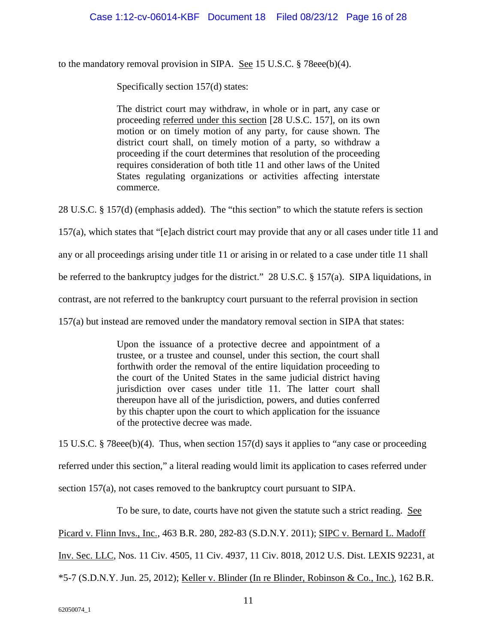to the mandatory removal provision in SIPA. See 15 U.S.C. § 78eee(b)(4).

Specifically section 157(d) states:

<span id="page-15-0"></span>The district court may withdraw, in whole or in part, any case or proceeding referred under this section [28 U.S.C. 157], on its own motion or on timely motion of any party, for cause shown. The district court shall, on timely motion of a party, so withdraw a proceeding if the court determines that resolution of the proceeding requires consideration of both title 11 and other laws of the United States regulating organizations or activities affecting interstate commerce.

28 U.S.C. § 157(d) (emphasis added). The "this section" to which the statute refers is section

157(a), which states that "[e]ach district court may provide that any or all cases under title 11 and

any or all proceedings arising under title 11 or arising in or related to a case under title 11 shall

be referred to the bankruptcy judges for the district." 28 U.S.C. § 157(a). SIPA liquidations, in

contrast, are not referred to the bankruptcy court pursuant to the referral provision in section

157(a) but instead are removed under the mandatory removal section in SIPA that states:

Upon the issuance of a protective decree and appointment of a trustee, or a trustee and counsel, under this section, the court shall forthwith order the removal of the entire liquidation proceeding to the court of the United States in the same judicial district having jurisdiction over cases under title 11. The latter court shall thereupon have all of the jurisdiction, powers, and duties conferred by this chapter upon the court to which application for the issuance of the protective decree was made.

15 U.S.C. § 78eee(b)(4). Thus, when section 157(d) says it applies to "any case or proceeding referred under this section," a literal reading would limit its application to cases referred under section 157(a), not cases removed to the bankruptcy court pursuant to SIPA.

To be sure, to date, courts have not given the statute such a strict reading. See

Picard v. Flinn Invs., Inc., 463 B.R. 280, 282-83 (S.D.N.Y. 2011); SIPC v. Bernard L. Madoff

Inv. Sec. LLC, Nos. 11 Civ. 4505, 11 Civ. 4937, 11 Civ. 8018, 2012 U.S. Dist. LEXIS 92231, at

\*5-7 (S.D.N.Y. Jun. 25, 2012); Keller v. Blinder (In re Blinder, Robinson & Co., Inc.), 162 B.R.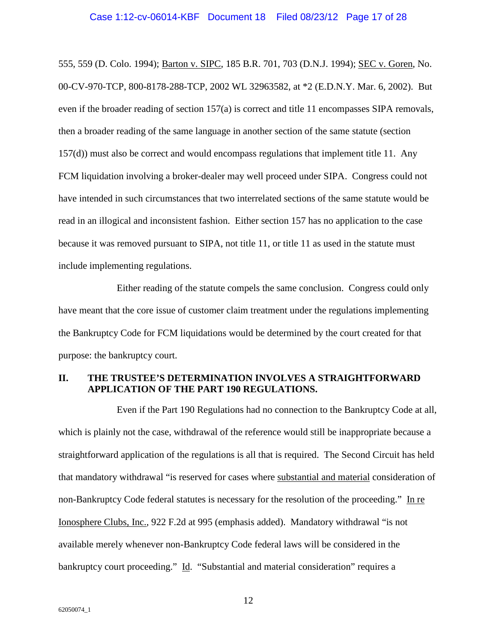#### <span id="page-16-1"></span><span id="page-16-0"></span>Case 1:12-cv-06014-KBF Document 18 Filed 08/23/12 Page 17 of 28

555, 559 (D. Colo. 1994); <u>Barton v. SIPC,</u> 185 B.R. 701, 703 (D.N.J. 1994); <u>SEC v. Goren,</u> No. 00-CV-970-TCP, 800-8178-288-TCP, 2002 WL 32963582, at \*2 (E.D.N.Y. Mar. 6, 2002). But even if the broader reading of section 157(a) is correct and title 11 encompasses SIPA removals, then a broader reading of the same language in another section of the same statute (section 157(d)) must also be correct and would encompass regulations that implement title 11. Any FCM liquidation involving a broker-dealer may well proceed under SIPA. Congress could not have intended in such circumstances that two interrelated sections of the same statute would be read in an illogical and inconsistent fashion. Either section 157 has no application to the case because it was removed pursuant to SIPA, not title 11, or title 11 as used in the statute must include implementing regulations.

Either reading of the statute compels the same conclusion. Congress could only have meant that the core issue of customer claim treatment under the regulations implementing the Bankruptcy Code for FCM liquidations would be determined by the court created for that purpose: the bankruptcy court.

### **II. THE TRUSTEE'S DETERMINATION INVOLVES A STRAIGHTFORWARD APPLICATION OF THE PART 190 REGULATIONS.**

Even if the Part 190 Regulations had no connection to the Bankruptcy Code at all, which is plainly not the case, withdrawal of the reference would still be inappropriate because a straightforward application of the regulations is all that is required. The Second Circuit has held that mandatory withdrawal "is reserved for cases where substantial and material consideration of non-Bankruptcy Code federal statutes is necessary for the resolution of the proceeding." In re Ionosphere Clubs, Inc., 922 F.2d at 995 (emphasis added). Mandatory withdrawal "is not available merely whenever non-Bankruptcy Code federal laws will be considered in the bankruptcy court proceeding." Id. "Substantial and material consideration" requires a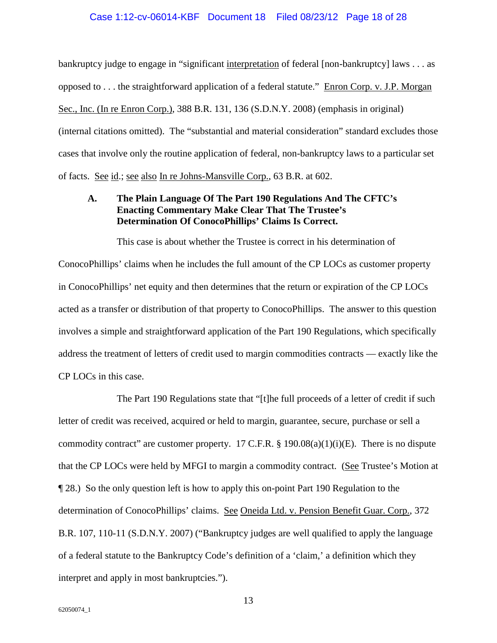#### <span id="page-17-0"></span>Case 1:12-cv-06014-KBF Document 18 Filed 08/23/12 Page 18 of 28

bankruptcy judge to engage in "significant interpretation of federal [non-bankruptcy] laws . . . as opposed to . . . the straightforward application of a federal statute." Enron Corp. v. J.P. Morgan Sec., Inc. (In re Enron Corp.), 388 B.R. 131, 136 (S.D.N.Y. 2008) (emphasis in original) (internal citations omitted). The "substantial and material consideration" standard excludes those cases that involve only the routine application of federal, non-bankruptcy laws to a particular set of facts. See id.; see also In re Johns-Mansville Corp., 63 B.R. at 602.

### <span id="page-17-2"></span>**A. The Plain Language Of The Part 190 Regulations And The CFTC's Enacting Commentary Make Clear That The Trustee's Determination Of ConocoPhillips' Claims Is Correct.**

This case is about whether the Trustee is correct in his determination of ConocoPhillips' claims when he includes the full amount of the CP LOCs as customer property in ConocoPhillips' net equity and then determines that the return or expiration of the CP LOCs acted as a transfer or distribution of that property to ConocoPhillips. The answer to this question involves a simple and straightforward application of the Part 190 Regulations, which specifically address the treatment of letters of credit used to margin commodities contracts — exactly like the CP LOCs in this case.

<span id="page-17-1"></span>The Part 190 Regulations state that "[t]he full proceeds of a letter of credit if such letter of credit was received, acquired or held to margin, guarantee, secure, purchase or sell a commodity contract" are customer property. 17 C.F.R.  $\S$  190.08(a)(1)(i)(E). There is no dispute that the CP LOCs were held by MFGI to margin a commodity contract. (See Trustee's Motion at ¶ 28.) So the only question left is how to apply this on-point Part 190 Regulation to the determination of ConocoPhillips' claims. See Oneida Ltd. v. Pension Benefit Guar. Corp., 372 B.R. 107, 110-11 (S.D.N.Y. 2007) ("Bankruptcy judges are well qualified to apply the language of a federal statute to the Bankruptcy Code's definition of a 'claim,' a definition which they interpret and apply in most bankruptcies.").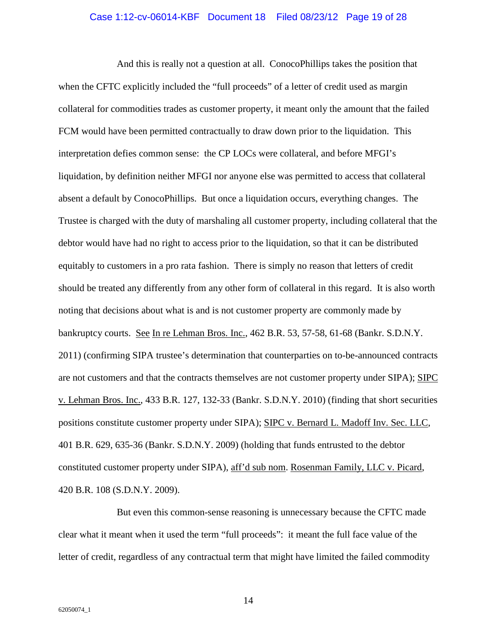#### Case 1:12-cv-06014-KBF Document 18 Filed 08/23/12 Page 19 of 28

And this is really not a question at all. ConocoPhillips takes the position that when the CFTC explicitly included the "full proceeds" of a letter of credit used as margin collateral for commodities trades as customer property, it meant only the amount that the failed FCM would have been permitted contractually to draw down prior to the liquidation. This interpretation defies common sense: the CP LOCs were collateral, and before MFGI's liquidation, by definition neither MFGI nor anyone else was permitted to access that collateral absent a default by ConocoPhillips. But once a liquidation occurs, everything changes. The Trustee is charged with the duty of marshaling all customer property, including collateral that the debtor would have had no right to access prior to the liquidation, so that it can be distributed equitably to customers in a pro rata fashion. There is simply no reason that letters of credit should be treated any differently from any other form of collateral in this regard. It is also worth noting that decisions about what is and is not customer property are commonly made by bankruptcy courts. See In re Lehman Bros. Inc., 462 B.R. 53, 57-58, 61-68 (Bankr. S.D.N.Y. 2011) (confirming SIPA trustee's determination that counterparties on to-be-announced contracts are not customers and that the contracts themselves are not customer property under SIPA); SIPC v. Lehman Bros. Inc., 433 B.R. 127, 132-33 (Bankr. S.D.N.Y. 2010) (finding that short securities positions constitute customer property under SIPA); SIPC v. Bernard L. Madoff Inv. Sec. LLC, 401 B.R. 629, 635-36 (Bankr. S.D.N.Y. 2009) (holding that funds entrusted to the debtor constituted customer property under SIPA), aff'd sub nom. Rosenman Family, LLC v. Picard, 420 B.R. 108 (S.D.N.Y. 2009).

But even this common-sense reasoning is unnecessary because the CFTC made clear what it meant when it used the term "full proceeds": it meant the full face value of the letter of credit, regardless of any contractual term that might have limited the failed commodity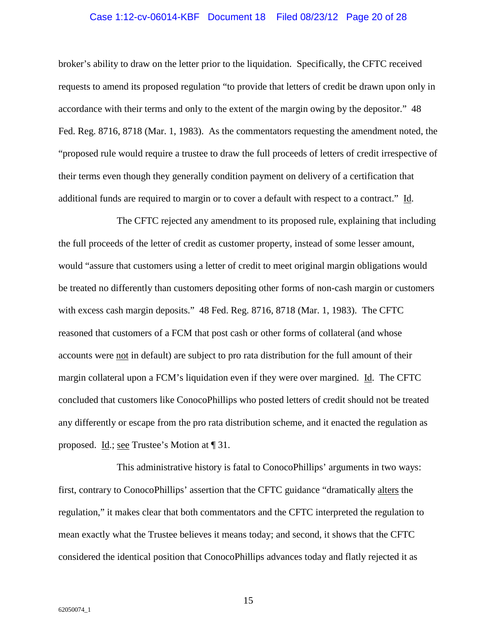#### <span id="page-19-0"></span>Case 1:12-cv-06014-KBF Document 18 Filed 08/23/12 Page 20 of 28

broker's ability to draw on the letter prior to the liquidation. Specifically, the CFTC received requests to amend its proposed regulation "to provide that letters of credit be drawn upon only in accordance with their terms and only to the extent of the margin owing by the depositor." 48 Fed. Reg. 8716, 8718 (Mar. 1, 1983). As the commentators requesting the amendment noted, the "proposed rule would require a trustee to draw the full proceeds of letters of credit irrespective of their terms even though they generally condition payment on delivery of a certification that additional funds are required to margin or to cover a default with respect to a contract." Id.

The CFTC rejected any amendment to its proposed rule, explaining that including the full proceeds of the letter of credit as customer property, instead of some lesser amount, would "assure that customers using a letter of credit to meet original margin obligations would be treated no differently than customers depositing other forms of non-cash margin or customers with excess cash margin deposits." 48 Fed. Reg. 8716, 8718 (Mar. 1, 1983). The CFTC reasoned that customers of a FCM that post cash or other forms of collateral (and whose accounts were not in default) are subject to pro rata distribution for the full amount of their margin collateral upon a FCM's liquidation even if they were over margined. Id. The CFTC concluded that customers like ConocoPhillips who posted letters of credit should not be treated any differently or escape from the pro rata distribution scheme, and it enacted the regulation as proposed. Id.; see Trustee's Motion at [31.

This administrative history is fatal to ConocoPhillips' arguments in two ways: first, contrary to ConocoPhillips' assertion that the CFTC guidance "dramatically alters the regulation," it makes clear that both commentators and the CFTC interpreted the regulation to mean exactly what the Trustee believes it means today; and second, it shows that the CFTC considered the identical position that ConocoPhillips advances today and flatly rejected it as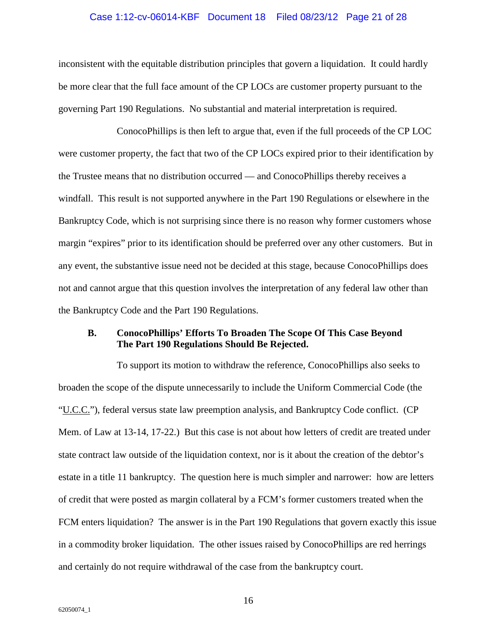#### Case 1:12-cv-06014-KBF Document 18 Filed 08/23/12 Page 21 of 28

inconsistent with the equitable distribution principles that govern a liquidation. It could hardly be more clear that the full face amount of the CP LOCs are customer property pursuant to the governing Part 190 Regulations. No substantial and material interpretation is required.

ConocoPhillips is then left to argue that, even if the full proceeds of the CP LOC were customer property, the fact that two of the CP LOCs expired prior to their identification by the Trustee means that no distribution occurred — and ConocoPhillips thereby receives a windfall. This result is not supported anywhere in the Part 190 Regulations or elsewhere in the Bankruptcy Code, which is not surprising since there is no reason why former customers whose margin "expires" prior to its identification should be preferred over any other customers. But in any event, the substantive issue need not be decided at this stage, because ConocoPhillips does not and cannot argue that this question involves the interpretation of any federal law other than the Bankruptcy Code and the Part 190 Regulations.

### **B. ConocoPhillips' Efforts To Broaden The Scope Of This Case Beyond The Part 190 Regulations Should Be Rejected.**

To support its motion to withdraw the reference, ConocoPhillips also seeks to broaden the scope of the dispute unnecessarily to include the Uniform Commercial Code (the "U.C.C."), federal versus state law preemption analysis, and Bankruptcy Code conflict. (CP Mem. of Law at 13-14, 17-22.) But this case is not about how letters of credit are treated under state contract law outside of the liquidation context, nor is it about the creation of the debtor's estate in a title 11 bankruptcy. The question here is much simpler and narrower: how are letters of credit that were posted as margin collateral by a FCM's former customers treated when the FCM enters liquidation? The answer is in the Part 190 Regulations that govern exactly this issue in a commodity broker liquidation. The other issues raised by ConocoPhillips are red herrings and certainly do not require withdrawal of the case from the bankruptcy court.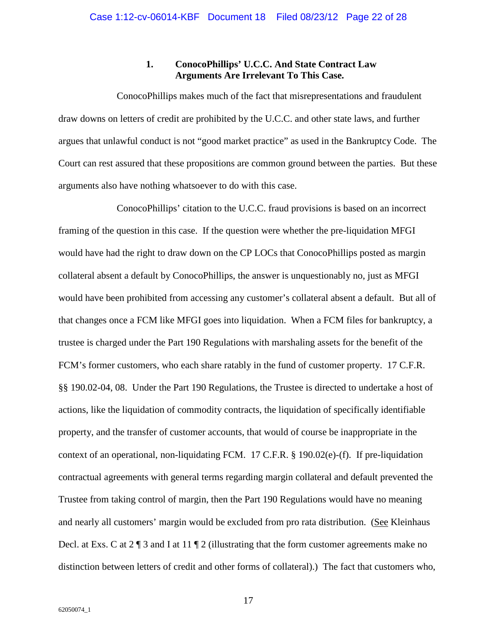### **1. ConocoPhillips' U.C.C. And State Contract Law Arguments Are Irrelevant To This Case.**

ConocoPhillips makes much of the fact that misrepresentations and fraudulent draw downs on letters of credit are prohibited by the U.C.C. and other state laws, and further argues that unlawful conduct is not "good market practice" as used in the Bankruptcy Code. The Court can rest assured that these propositions are common ground between the parties. But these arguments also have nothing whatsoever to do with this case.

ConocoPhillips' citation to the U.C.C. fraud provisions is based on an incorrect framing of the question in this case. If the question were whether the pre-liquidation MFGI would have had the right to draw down on the CP LOCs that ConocoPhillips posted as margin collateral absent a default by ConocoPhillips, the answer is unquestionably no, just as MFGI would have been prohibited from accessing any customer's collateral absent a default. But all of that changes once a FCM like MFGI goes into liquidation. When a FCM files for bankruptcy, a trustee is charged under the Part 190 Regulations with marshaling assets for the benefit of the FCM's former customers, who each share ratably in the fund of customer property. 17 C.F.R. §§ 190.02-04, 08. Under the Part 190 Regulations, the Trustee is directed to undertake a host of actions, like the liquidation of commodity contracts, the liquidation of specifically identifiable property, and the transfer of customer accounts, that would of course be inappropriate in the context of an operational, non-liquidating FCM. 17 C.F.R. § 190.02(e)-(f). If pre-liquidation contractual agreements with general terms regarding margin collateral and default prevented the Trustee from taking control of margin, then the Part 190 Regulations would have no meaning and nearly all customers' margin would be excluded from pro rata distribution. (See Kleinhaus Decl. at Exs. C at 2 ¶ 3 and I at 11 ¶ 2 (illustrating that the form customer agreements make no distinction between letters of credit and other forms of collateral).) The fact that customers who,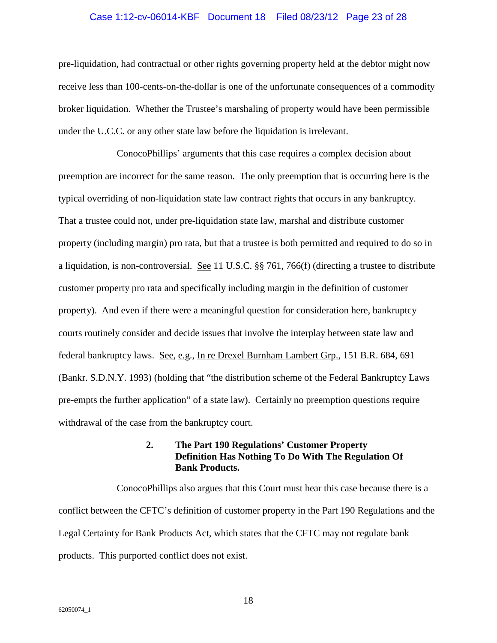#### Case 1:12-cv-06014-KBF Document 18 Filed 08/23/12 Page 23 of 28

pre-liquidation, had contractual or other rights governing property held at the debtor might now receive less than 100-cents-on-the-dollar is one of the unfortunate consequences of a commodity broker liquidation. Whether the Trustee's marshaling of property would have been permissible under the U.C.C. or any other state law before the liquidation is irrelevant.

ConocoPhillips' arguments that this case requires a complex decision about preemption are incorrect for the same reason. The only preemption that is occurring here is the typical overriding of non-liquidation state law contract rights that occurs in any bankruptcy. That a trustee could not, under pre-liquidation state law, marshal and distribute customer property (including margin) pro rata, but that a trustee is both permitted and required to do so in a liquidation, is non-controversial. See 11 U.S.C. §§ 761, 766(f) (directing a trustee to distribute customer property pro rata and specifically including margin in the definition of customer property). And even if there were a meaningful question for consideration here, bankruptcy courts routinely consider and decide issues that involve the interplay between state law and federal bankruptcy laws. See, e.g., In re Drexel Burnham Lambert Grp., 151 B.R. 684, 691 (Bankr. S.D.N.Y. 1993) (holding that "the distribution scheme of the Federal Bankruptcy Laws pre-empts the further application" of a state law). Certainly no preemption questions require withdrawal of the case from the bankruptcy court.

### **2. The Part 190 Regulations' Customer Property Definition Has Nothing To Do With The Regulation Of Bank Products.**

ConocoPhillips also argues that this Court must hear this case because there is a conflict between the CFTC's definition of customer property in the Part 190 Regulations and the Legal Certainty for Bank Products Act, which states that the CFTC may not regulate bank products. This purported conflict does not exist.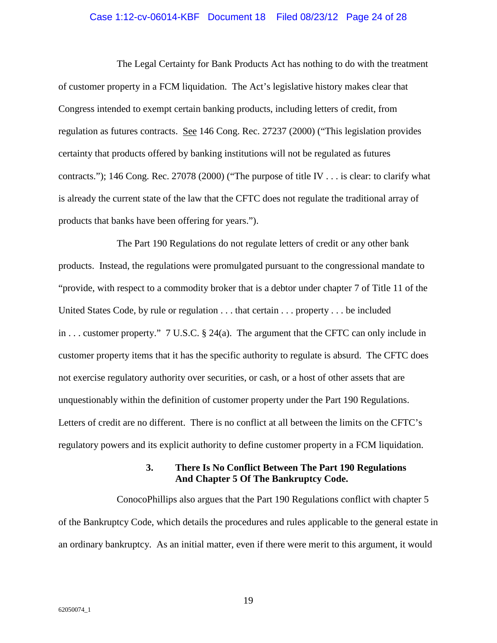#### Case 1:12-cv-06014-KBF Document 18 Filed 08/23/12 Page 24 of 28

<span id="page-23-0"></span>The Legal Certainty for Bank Products Act has nothing to do with the treatment of customer property in a FCM liquidation. The Act's legislative history makes clear that Congress intended to exempt certain banking products, including letters of credit, from regulation as futures contracts. See 146 Cong. Rec. 27237 (2000) ("This legislation provides certainty that products offered by banking institutions will not be regulated as futures contracts."); 146 Cong. Rec. 27078 (2000) ("The purpose of title IV . . . is clear: to clarify what is already the current state of the law that the CFTC does not regulate the traditional array of products that banks have been offering for years.").

The Part 190 Regulations do not regulate letters of credit or any other bank products. Instead, the regulations were promulgated pursuant to the congressional mandate to "provide, with respect to a commodity broker that is a debtor under chapter 7 of Title 11 of the United States Code, by rule or regulation . . . that certain . . . property . . . be included in . . . customer property." 7 U.S.C. § 24(a). The argument that the CFTC can only include in customer property items that it has the specific authority to regulate is absurd. The CFTC does not exercise regulatory authority over securities, or cash, or a host of other assets that are unquestionably within the definition of customer property under the Part 190 Regulations. Letters of credit are no different. There is no conflict at all between the limits on the CFTC's regulatory powers and its explicit authority to define customer property in a FCM liquidation.

### **3. There Is No Conflict Between The Part 190 Regulations And Chapter 5 Of The Bankruptcy Code.**

ConocoPhillips also argues that the Part 190 Regulations conflict with chapter 5 of the Bankruptcy Code, which details the procedures and rules applicable to the general estate in an ordinary bankruptcy. As an initial matter, even if there were merit to this argument, it would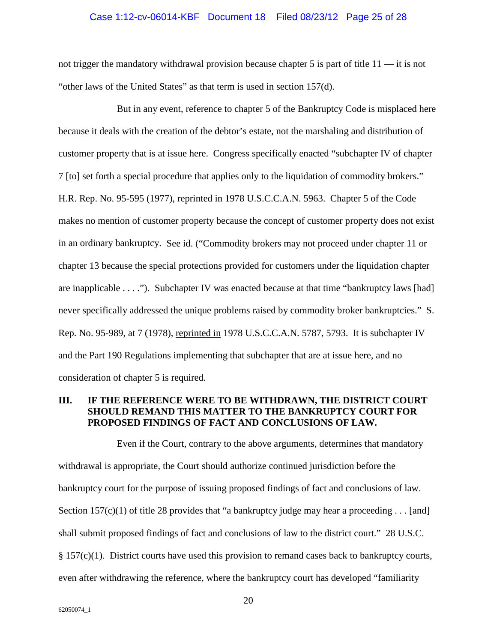#### Case 1:12-cv-06014-KBF Document 18 Filed 08/23/12 Page 25 of 28

not trigger the mandatory withdrawal provision because chapter 5 is part of title 11 — it is not "other laws of the United States" as that term is used in section 157(d).

<span id="page-24-0"></span>But in any event, reference to chapter 5 of the Bankruptcy Code is misplaced here because it deals with the creation of the debtor's estate, not the marshaling and distribution of customer property that is at issue here. Congress specifically enacted "subchapter IV of chapter 7 [to] set forth a special procedure that applies only to the liquidation of commodity brokers." H.R. Rep. No. 95-595 (1977), reprinted in 1978 U.S.C.C.A.N. 5963. Chapter 5 of the Code makes no mention of customer property because the concept of customer property does not exist in an ordinary bankruptcy. See id. ("Commodity brokers may not proceed under chapter 11 or chapter 13 because the special protections provided for customers under the liquidation chapter are inapplicable . . . ."). Subchapter IV was enacted because at that time "bankruptcy laws [had] never specifically addressed the unique problems raised by commodity broker bankruptcies." S. Rep. No. 95-989, at 7 (1978), reprinted in 1978 U.S.C.C.A.N. 5787, 5793. It is subchapter IV and the Part 190 Regulations implementing that subchapter that are at issue here, and no consideration of chapter 5 is required.

### <span id="page-24-1"></span>**III. IF THE REFERENCE WERE TO BE WITHDRAWN, THE DISTRICT COURT SHOULD REMAND THIS MATTER TO THE BANKRUPTCY COURT FOR PROPOSED FINDINGS OF FACT AND CONCLUSIONS OF LAW.**

Even if the Court, contrary to the above arguments, determines that mandatory withdrawal is appropriate, the Court should authorize continued jurisdiction before the bankruptcy court for the purpose of issuing proposed findings of fact and conclusions of law. Section 157(c)(1) of title 28 provides that "a bankruptcy judge may hear a proceeding . . . [and] shall submit proposed findings of fact and conclusions of law to the district court." 28 U.S.C.  $§ 157(c)(1)$ . District courts have used this provision to remand cases back to bankruptcy courts, even after withdrawing the reference, where the bankruptcy court has developed "familiarity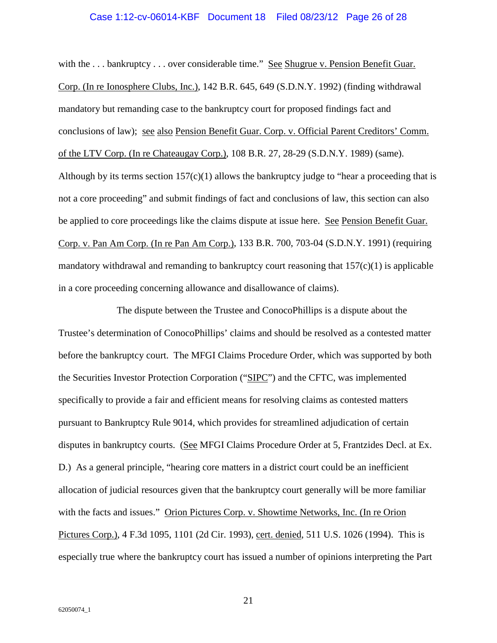#### <span id="page-25-3"></span>Case 1:12-cv-06014-KBF Document 18 Filed 08/23/12 Page 26 of 28

<span id="page-25-1"></span>with the ... bankruptcy ... over considerable time." See Shugrue v. Pension Benefit Guar. Corp. (In re Ionosphere Clubs, Inc.), 142 B.R. 645, 649 (S.D.N.Y. 1992) (finding withdrawal mandatory but remanding case to the bankruptcy court for proposed findings fact and conclusions of law); see also Pension Benefit Guar. Corp. v. Official Parent Creditors' Comm. of the LTV Corp. (In re Chateaugay Corp.), 108 B.R. 27, 28-29 (S.D.N.Y. 1989) (same). Although by its terms section  $157(c)(1)$  allows the bankruptcy judge to "hear a proceeding that is not a core proceeding" and submit findings of fact and conclusions of law, this section can also be applied to core proceedings like the claims dispute at issue here. See Pension Benefit Guar. Corp. v. Pan Am Corp. (In re Pan Am Corp.), 133 B.R. 700, 703-04 (S.D.N.Y. 1991) (requiring mandatory withdrawal and remanding to bankruptcy court reasoning that  $157(c)(1)$  is applicable in a core proceeding concerning allowance and disallowance of claims).

<span id="page-25-2"></span><span id="page-25-0"></span>The dispute between the Trustee and ConocoPhillips is a dispute about the Trustee's determination of ConocoPhillips' claims and should be resolved as a contested matter before the bankruptcy court. The MFGI Claims Procedure Order, which was supported by both the Securities Investor Protection Corporation ("SIPC") and the CFTC, was implemented specifically to provide a fair and efficient means for resolving claims as contested matters pursuant to Bankruptcy Rule 9014, which provides for streamlined adjudication of certain disputes in bankruptcy courts. (See MFGI Claims Procedure Order at 5, Frantzides Decl. at Ex. D.) As a general principle, "hearing core matters in a district court could be an inefficient allocation of judicial resources given that the bankruptcy court generally will be more familiar with the facts and issues." Orion Pictures Corp. v. Showtime Networks, Inc. (In re Orion Pictures Corp.), 4 F.3d 1095, 1101 (2d Cir. 1993), cert. denied, 511 U.S. 1026 (1994). This is especially true where the bankruptcy court has issued a number of opinions interpreting the Part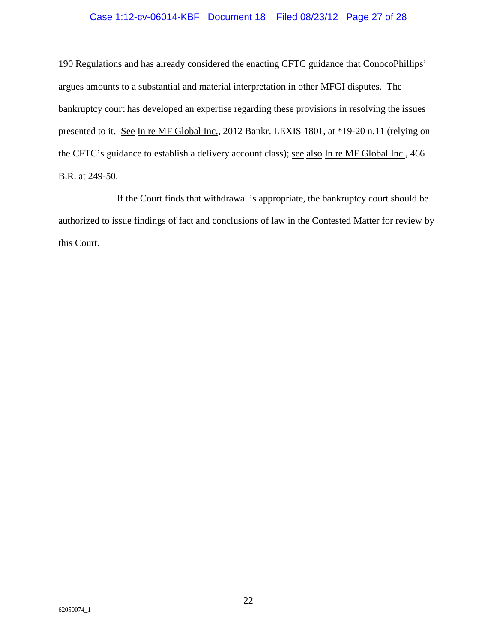### Case 1:12-cv-06014-KBF Document 18 Filed 08/23/12 Page 27 of 28

<span id="page-26-1"></span>190 Regulations and has already considered the enacting CFTC guidance that ConocoPhillips' argues amounts to a substantial and material interpretation in other MFGI disputes. The bankruptcy court has developed an expertise regarding these provisions in resolving the issues presented to it. See In re MF Global Inc., 2012 Bankr. LEXIS 1801, at \*19-20 n.11 (relying on the CFTC's guidance to establish a delivery account class); see also In re MF Global Inc., 466 B.R. at 249-50.

<span id="page-26-0"></span>If the Court finds that withdrawal is appropriate, the bankruptcy court should be authorized to issue findings of fact and conclusions of law in the Contested Matter for review by this Court.